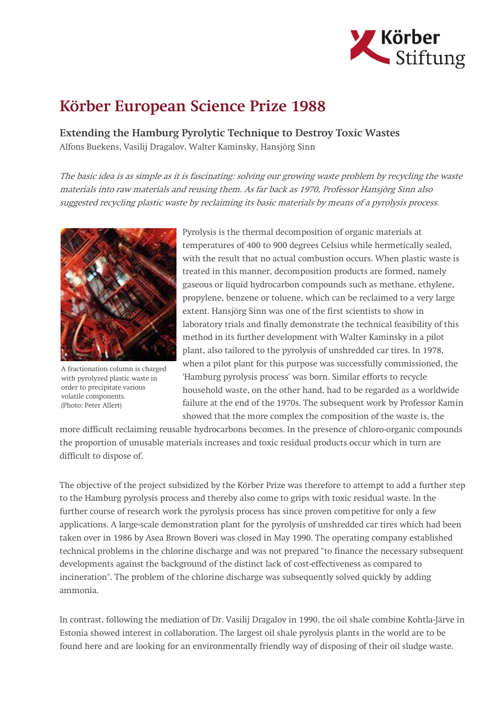

## Körber European Science Prize 1988

Extending the Hamburg Pyrolytic Technique to Destroy Toxic Wastes Alfons Buekens, Vasilij Dragalov, Walter Kaminsky, Hansjörg Sinn

The basic idea is as simple as it is fascinating: solving our growing waste problem by recycling the waste materials into raw materials and reusing them. As far back as 1970, Professor Hansjörg Sinn also suggested recycling plastic waste by reclaiming its basic materials by means of a pyrolysis process.



A fractionation column is charged with pyrolyzed plastic waste in order to precipitate various volatile components. (Photo: Peter Allert)

Pyrolysis is the thermal decomposition of organic materials at temperatures of 400 to 900 degrees Celsius while hermetically sealed, with the result that no actual combustion occurs. When plastic waste is treated in this manner, decomposition products are formed, namely gaseous or liquid hydrocarbon compounds such as methane, ethylene, propylene, benzene or toluene, which can be reclaimed to a very large extent. Hansjörg Sinn was one of the first scientists to show in laboratory trials and finally demonstrate the technical feasibility of this method in its further development with Walter Kaminsky in a pilot plant, also tailored to the pyrolysis of unshredded car tires. In 1978, when a pilot plant for this purpose was successfully commissioned, the 'Hamburg pyrolysis process' was born. Similar efforts to recycle household waste, on the other hand, had to be regarded as a worldwide failure at the end of the 1970s. The subsequent work by Professor Kamin showed that the more complex the composition of the waste is, the

more difficult reclaiming reusable hydrocarbons becomes. In the presence of chloro-organic compounds the proportion of unusable materials increases and toxic residual products occur which in turn are difficult to dispose of.

The objective of the project subsidized by the Körber Prize was therefore to attempt to add a further step to the Hamburg pyrolysis process and thereby also come to grips with toxic residual waste. In the further course of research work the pyrolysis process has since proven competitive for only a few applications. A large-scale demonstration plant for the pyrolysis of unshredded car tires which had been taken over in 1986 by Asea Brown Boveri was closed in May 1990. The operating company established technical problems in the chlorine discharge and was not prepared "to finance the necessary subsequent developments against the background of the distinct lack of cost-effectiveness as compared to incineration". The problem of the chlorine discharge was subsequently solved quickly by adding ammonia.

In contrast, following the mediation of Dr. Vasilij Dragalov in 1990, the oil shale combine Kohtla-Järve in Estonia showed interest in collaboration. The largest oil shale pyrolysis plants in the world are to be found here and are looking for an environmentally friendly way of disposing of their oil sludge waste.